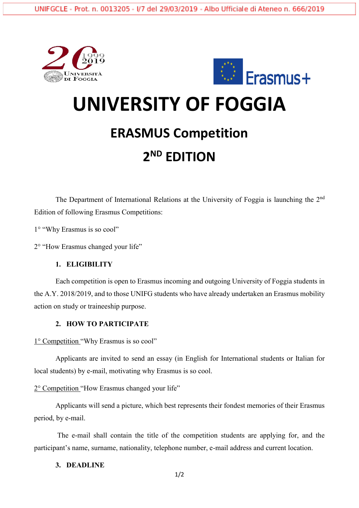



# **UNIVERSITY OF FOGGIA**

### **ERASMUS Competition**

## **2 ND EDITION**

The Department of International Relations at the University of Foggia is launching the 2<sup>nd</sup> Edition of following Erasmus Competitions:

1° "Why Erasmus is so cool"

2° "How Erasmus changed your life"

#### **1. ELIGIBILITY**

Each competition is open to Erasmus incoming and outgoing University of Foggia students in the A.Y. 2018/2019, and to those UNIFG students who have already undertaken an Erasmus mobility action on study or traineeship purpose.

#### **2. HOW TO PARTICIPATE**

1° Competition "Why Erasmus is so cool"

Applicants are invited to send an essay (in English for International students or Italian for local students) by e-mail, motivating why Erasmus is so cool.

2° Competition "How Erasmus changed your life"

Applicants will send a picture, which best represents their fondest memories of their Erasmus period, by e-mail.

The e-mail shall contain the title of the competition students are applying for, and the participant's name, surname, nationality, telephone number, e-mail address and current location.

#### **3. DEADLINE**